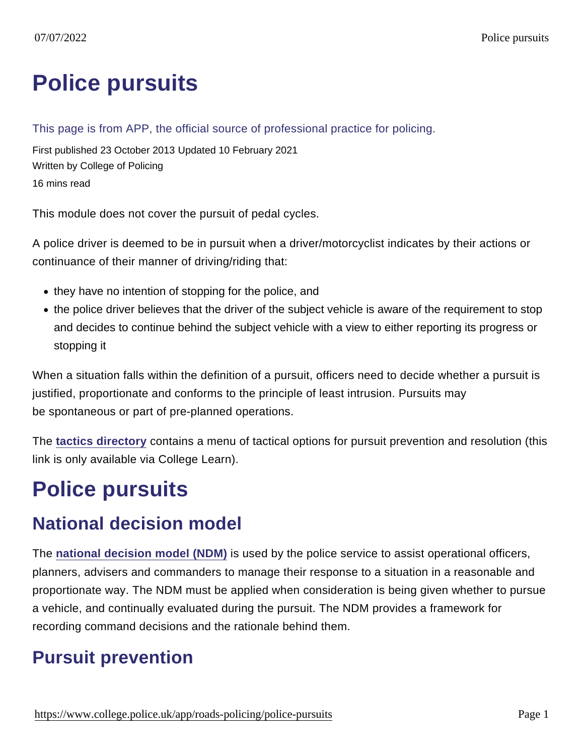# [Police pursuits](https://www.college.police.uk/app/roads-policing/police-pursuits)

#### This page is from APP, the official source of professional practice for policing.

First published 23 October 2013 Updated 10 February 2021 Written by College of Policing 16 mins read

This module does not cover the pursuit of pedal cycles.

A police driver is deemed to be in pursuit when a driver/motorcyclist indicates by their actions or continuance of their manner of driving/riding that:

- they have no intention of stopping for the police, and
- the police driver believes that the driver of the subject vehicle is aware of the requirement to stop and decides to continue behind the subject vehicle with a view to either reporting its progress or stopping it

When a situation falls within the definition of a pursuit, officers need to decide whether a pursuit is justified, proportionate and conforms to the principle of least intrusion. Pursuits may be spontaneous or part of pre-planned operations.

The [tactics directory](https://www.learn.college.pnn.police.uk/CL/Content/Information/34020) contains a menu of tactical options for pursuit prevention and resolution (this link is only available via College Learn).

# Police pursuits

### National decision model

The [national decision model \(NDM\)](https://www.app.college.police.uk/app-content/the-national-decision-model/?s=) is used by the police service to assist operational officers, planners, advisers and commanders to manage their response to a situation in a reasonable and proportionate way. The NDM must be applied when consideration is being given whether to pursue a vehicle, and continually evaluated during the pursuit. The NDM provides a framework for recording command decisions and the rationale behind them.

### Pursuit prevention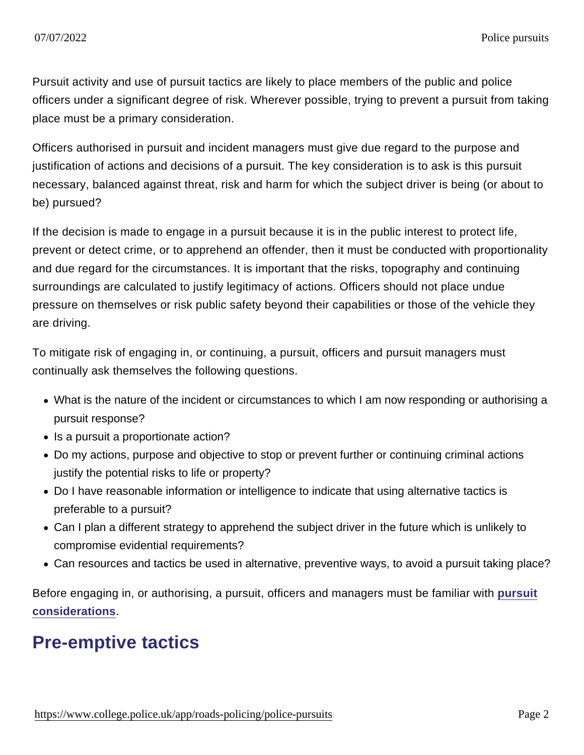Pursuit activity and use of pursuit tactics are likely to place members of the public and police officers under a significant degree of risk. Wherever possible, trying to prevent a pursuit from taking place must be a primary consideration.

Officers authorised in pursuit and incident managers must give due regard to the purpose and justification of actions and decisions of a pursuit. The key consideration is to ask is this pursuit necessary, balanced against threat, risk and harm for which the subject driver is being (or about to be) pursued?

If the decision is made to engage in a pursuit because it is in the public interest to protect life, prevent or detect crime, or to apprehend an offender, then it must be conducted with proportionality and due regard for the circumstances. It is important that the risks, topography and continuing surroundings are calculated to justify legitimacy of actions. Officers should not place undue pressure on themselves or risk public safety beyond their capabilities or those of the vehicle they are driving.

To mitigate risk of engaging in, or continuing, a pursuit, officers and pursuit managers must continually ask themselves the following questions.

- What is the nature of the incident or circumstances to which I am now responding or authorising a pursuit response?
- Is a pursuit a proportionate action?
- Do my actions, purpose and objective to stop or prevent further or continuing criminal actions justify the potential risks to life or property?
- Do I have reasonable information or intelligence to indicate that using alternative tactics is preferable to a pursuit?
- Can I plan a different strategy to apprehend the subject driver in the future which is unlikely to compromise evidential requirements?
- Can resources and tactics be used in alternative, preventive ways, to avoid a pursuit taking place?

Before engaging in, or authorising, a pursuit, officers and managers must be familiar with [pursuit](https://www.app.college.police.uk/app-content/road-policing-2/police-pursuits/#pursuit-considerations) [considerations](https://www.app.college.police.uk/app-content/road-policing-2/police-pursuits/#pursuit-considerations) .

### Pre-emptive tactics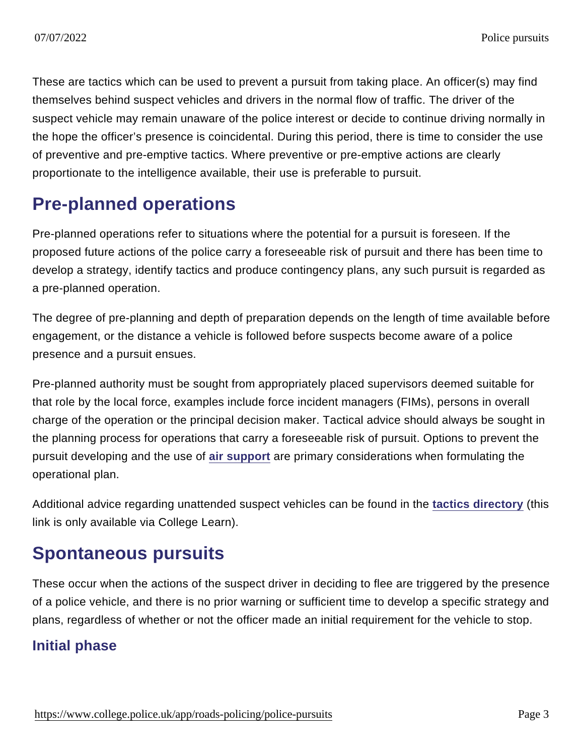These are tactics which can be used to prevent a pursuit from taking place. An officer(s) may find themselves behind suspect vehicles and drivers in the normal flow of traffic. The driver of the suspect vehicle may remain unaware of the police interest or decide to continue driving normally in the hope the officer's presence is coincidental. During this period, there is time to consider the use of preventive and pre-emptive tactics. Where preventive or pre-emptive actions are clearly proportionate to the intelligence available, their use is preferable to pursuit.

### Pre-planned operations

Pre-planned operations refer to situations where the potential for a pursuit is foreseen. If the proposed future actions of the police carry a foreseeable risk of pursuit and there has been time to develop a strategy, identify tactics and produce contingency plans, any such pursuit is regarded as a pre-planned operation.

The degree of pre-planning and depth of preparation depends on the length of time available before engagement, or the distance a vehicle is followed before suspects become aware of a police presence and a pursuit ensues.

Pre-planned authority must be sought from appropriately placed supervisors deemed suitable for that role by the local force, examples include force incident managers (FIMs), persons in overall charge of the operation or the principal decision maker. Tactical advice should always be sought in the planning process for operations that carry a foreseeable risk of pursuit. Options to prevent the pursuit developing and the use of [air support](https://www.app.college.police.uk/app-content/road-policing-2/police-pursuits/#air-support) are primary considerations when formulating the operational plan.

Additional advice regarding unattended suspect vehicles can be found in the [tactics directory](https://www.learn.college.pnn.police.uk/CL/Content/Information/34020) (this link is only available via College Learn).

### Spontaneous pursuits

These occur when the actions of the suspect driver in deciding to flee are triggered by the presence of a police vehicle, and there is no prior warning or sufficient time to develop a specific strategy and plans, regardless of whether or not the officer made an initial requirement for the vehicle to stop.

#### Initial phase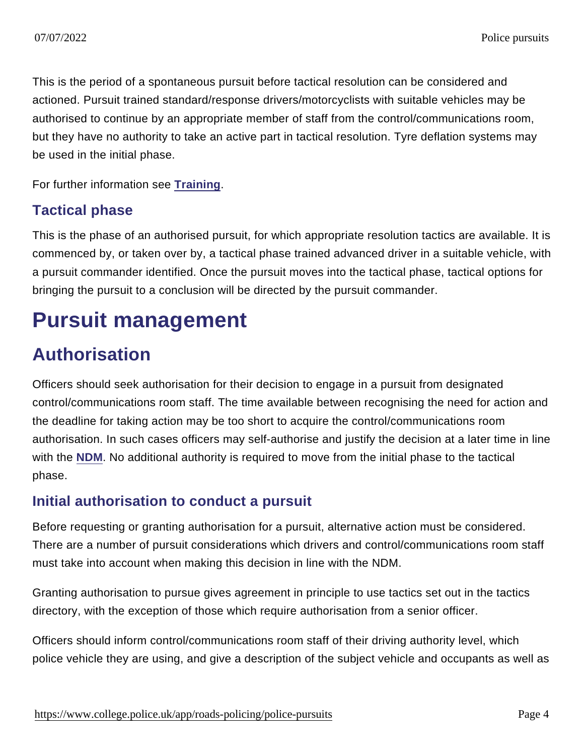This is the period of a spontaneous pursuit before tactical resolution can be considered and actioned. Pursuit trained standard/response drivers/motorcyclists with suitable vehicles may be authorised to continue by an appropriate member of staff from the control/communications room, but they have no authority to take an active part in tactical resolution. Tyre deflation systems may be used in the initial phase.

For further information see [Training](https://www.app.college.police.uk/app-content/road-policing-2/police-pursuits/#training) .

#### Tactical phase

This is the phase of an authorised pursuit, for which appropriate resolution tactics are available. It is commenced by, or taken over by, a tactical phase trained advanced driver in a suitable vehicle, with a pursuit commander identified. Once the pursuit moves into the tactical phase, tactical options for bringing the pursuit to a conclusion will be directed by the pursuit commander.

### Pursuit management

### Authorisation

Officers should seek authorisation for their decision to engage in a pursuit from designated control/communications room staff. The time available between recognising the need for action and the deadline for taking action may be too short to acquire the control/communications room authorisation. In such cases officers may self-authorise and justify the decision at a later time in line with the [NDM.](https://www.app.college.police.uk/app-content/the-national-decision-model/?s=) No additional authority is required to move from the initial phase to the tactical phase.

#### Initial authorisation to conduct a pursuit

Before requesting or granting authorisation for a pursuit, alternative action must be considered. There are a number of pursuit considerations which drivers and control/communications room staff must take into account when making this decision in line with the NDM.

Granting authorisation to pursue gives agreement in principle to use tactics set out in the tactics directory, with the exception of those which require authorisation from a senior officer.

Officers should inform control/communications room staff of their driving authority level, which police vehicle they are using, and give a description of the subject vehicle and occupants as well as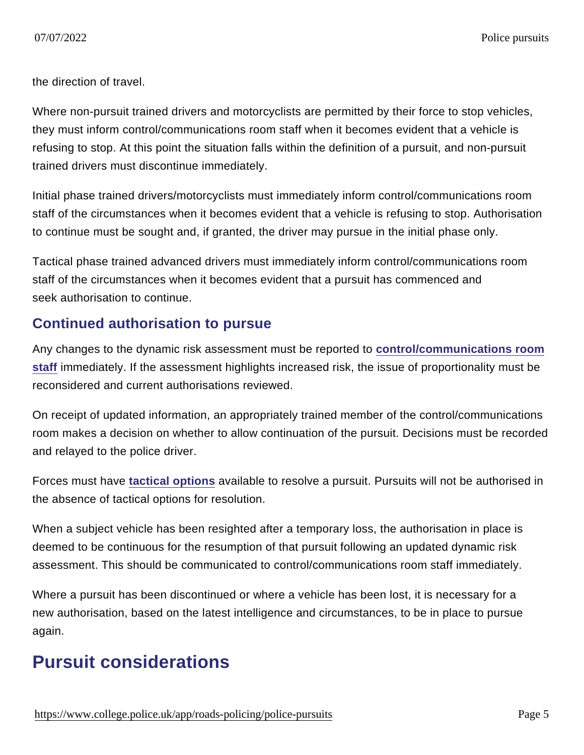the direction of travel.

Where non-pursuit trained drivers and motorcyclists are permitted by their force to stop vehicles, they must inform control/communications room staff when it becomes evident that a vehicle is refusing to stop. At this point the situation falls within the definition of a pursuit, and non-pursuit trained drivers must discontinue immediately.

Initial phase trained drivers/motorcyclists must immediately inform control/communications room staff of the circumstances when it becomes evident that a vehicle is refusing to stop. Authorisation to continue must be sought and, if granted, the driver may pursue in the initial phase only.

Tactical phase trained advanced drivers must immediately inform control/communications room staff of the circumstances when it becomes evident that a pursuit has commenced and seek authorisation to continue.

#### Continued authorisation to pursue

Any changes to the dynamic risk assessment must be reported to [control/communications room](https://www.app.college.police.uk/app-content/road-policing-2/police-pursuits/#control-communications-room-staff) [staff](https://www.app.college.police.uk/app-content/road-policing-2/police-pursuits/#control-communications-room-staff) immediately. If the assessment highlights increased risk, the issue of proportionality must be reconsidered and current authorisations reviewed.

On receipt of updated information, an appropriately trained member of the control/communications room makes a decision on whether to allow continuation of the pursuit. Decisions must be recorded and relayed to the police driver.

Forces must have [tactical options](https://www.app.college.police.uk/app-content/road-policing-2/police-pursuits/#tactical-options) available to resolve a pursuit. Pursuits will not be authorised in the absence of tactical options for resolution.

When a subject vehicle has been resighted after a temporary loss, the authorisation in place is deemed to be continuous for the resumption of that pursuit following an updated dynamic risk assessment. This should be communicated to control/communications room staff immediately.

Where a pursuit has been discontinued or where a vehicle has been lost, it is necessary for a new authorisation, based on the latest intelligence and circumstances, to be in place to pursue again.

### Pursuit considerations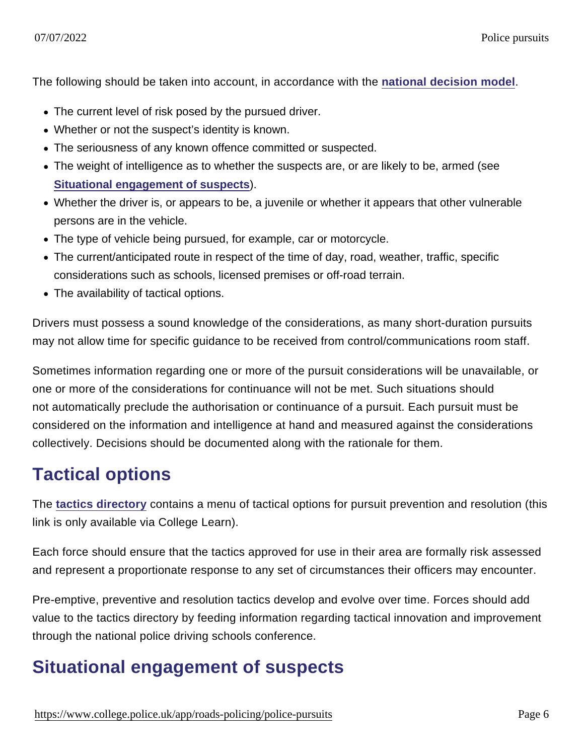The following should be taken into account, in accordance with the [national decision model](https://www.app.college.police.uk/app-content/the-national-decision-model/?s=).

- The current level of risk posed by the pursued driver.
- Whether or not the suspect's identity is known.
- The seriousness of any known offence committed or suspected.
- The weight of intelligence as to whether the suspects are, or are likely to be, armed (see [Situational engagement of suspects](https://www.app.college.police.uk/app-content/road-policing-2/police-pursuits/#situational-engagement-of-suspects) ).
- Whether the driver is, or appears to be, a juvenile or whether it appears that other vulnerable persons are in the vehicle.
- The type of vehicle being pursued, for example, car or motorcycle.
- The current/anticipated route in respect of the time of day, road, weather, traffic, specific considerations such as schools, licensed premises or off-road terrain.
- The availability of tactical options.

Drivers must possess a sound knowledge of the considerations, as many short-duration pursuits may not allow time for specific guidance to be received from control/communications room staff.

Sometimes information regarding one or more of the pursuit considerations will be unavailable, or one or more of the considerations for continuance will not be met. Such situations should not automatically preclude the authorisation or continuance of a pursuit. Each pursuit must be considered on the information and intelligence at hand and measured against the considerations collectively. Decisions should be documented along with the rationale for them.

### Tactical options

The [tactics directory](https://www.learn.college.pnn.police.uk/CL/Content/Information/34020) contains a menu of tactical options for pursuit prevention and resolution (this link is only available via College Learn).

Each force should ensure that the tactics approved for use in their area are formally risk assessed and represent a proportionate response to any set of circumstances their officers may encounter.

Pre-emptive, preventive and resolution tactics develop and evolve over time. Forces should add value to the tactics directory by feeding information regarding tactical innovation and improvement through the national police driving schools conference.

### Situational engagement of suspects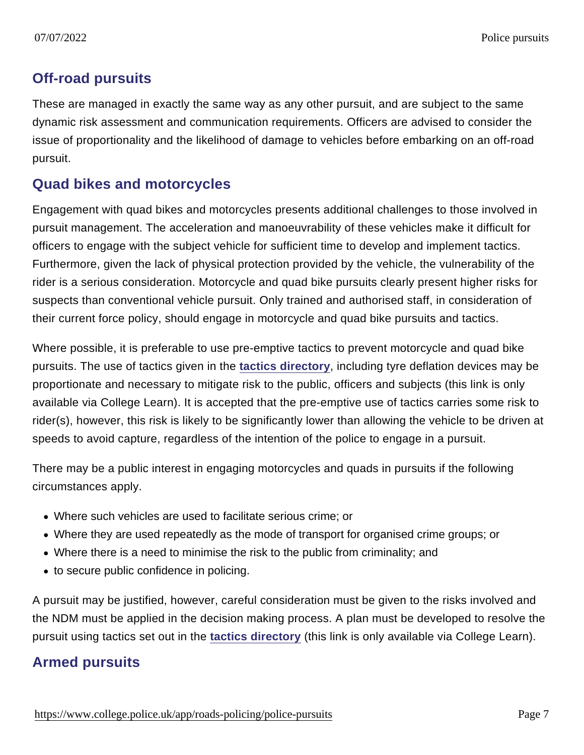#### Off-road pursuits

These are managed in exactly the same way as any other pursuit, and are subject to the same dynamic risk assessment and communication requirements. Officers are advised to consider the issue of proportionality and the likelihood of damage to vehicles before embarking on an off-road pursuit.

#### Quad bikes and motorcycles

Engagement with quad bikes and motorcycles presents additional challenges to those involved in pursuit management. The acceleration and manoeuvrability of these vehicles make it difficult for officers to engage with the subject vehicle for sufficient time to develop and implement tactics. Furthermore, given the lack of physical protection provided by the vehicle, the vulnerability of the rider is a serious consideration. Motorcycle and quad bike pursuits clearly present higher risks for suspects than conventional vehicle pursuit. Only trained and authorised staff, in consideration of their current force policy, should engage in motorcycle and quad bike pursuits and tactics.

Where possible, it is preferable to use pre-emptive tactics to prevent motorcycle and quad bike pursuits. The use of tactics given in the [tactics directory](https://www.learn.college.pnn.police.uk/CL/Content/Information/34020) , including tyre deflation devices may be proportionate and necessary to mitigate risk to the public, officers and subjects (this link is only available via College Learn). It is accepted that the pre-emptive use of tactics carries some risk to rider(s), however, this risk is likely to be significantly lower than allowing the vehicle to be driven at speeds to avoid capture, regardless of the intention of the police to engage in a pursuit.

There may be a public interest in engaging motorcycles and quads in pursuits if the following circumstances apply.

- Where such vehicles are used to facilitate serious crime; or
- Where they are used repeatedly as the mode of transport for organised crime groups; or
- Where there is a need to minimise the risk to the public from criminality; and
- to secure public confidence in policing.

A pursuit may be justified, however, careful consideration must be given to the risks involved and the NDM must be applied in the decision making process. A plan must be developed to resolve the pursuit using tactics set out in the [tactics directory](https://www.learn.college.pnn.police.uk/CL/Content/Information/34020) (this link is only available via College Learn).

#### Armed pursuits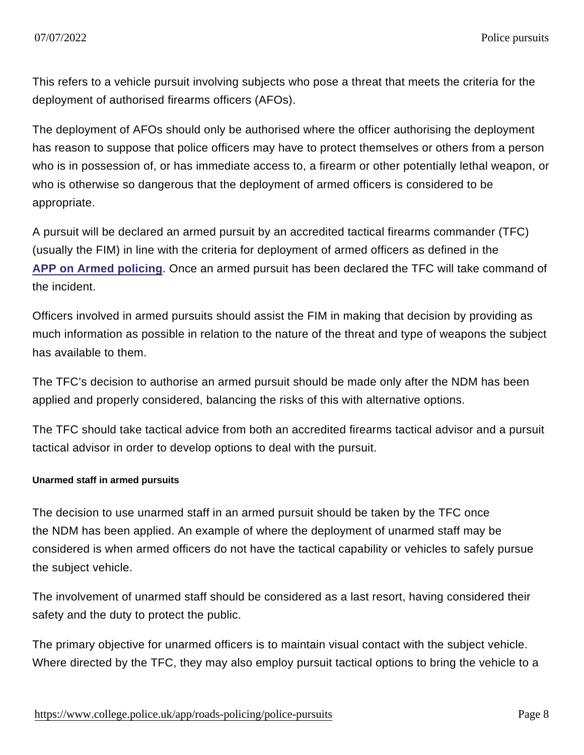This refers to a vehicle pursuit involving subjects who pose a threat that meets the criteria for the deployment of authorised firearms officers (AFOs).

The deployment of AFOs should only be authorised where the officer authorising the deployment has reason to suppose that police officers may have to protect themselves or others from a person who is in possession of, or has immediate access to, a firearm or other potentially lethal weapon, or who is otherwise so dangerous that the deployment of armed officers is considered to be appropriate.

A pursuit will be declared an armed pursuit by an accredited tactical firearms commander (TFC) (usually the FIM) in line with the criteria for deployment of armed officers as defined in the [APP on Armed policing](https://www.app.college.police.uk/app-content/armed-policing/?s=) . Once an armed pursuit has been declared the TFC will take command of the incident.

Officers involved in armed pursuits should assist the FIM in making that decision by providing as much information as possible in relation to the nature of the threat and type of weapons the subject has available to them.

The TFC's decision to authorise an armed pursuit should be made only after the NDM has been applied and properly considered, balancing the risks of this with alternative options.

The TFC should take tactical advice from both an accredited firearms tactical advisor and a pursuit tactical advisor in order to develop options to deal with the pursuit.

Unarmed staff in armed pursuits

The decision to use unarmed staff in an armed pursuit should be taken by the TFC once the NDM has been applied. An example of where the deployment of unarmed staff may be considered is when armed officers do not have the tactical capability or vehicles to safely pursue the subject vehicle.

The involvement of unarmed staff should be considered as a last resort, having considered their safety and the duty to protect the public.

The primary objective for unarmed officers is to maintain visual contact with the subject vehicle. Where directed by the TFC, they may also employ pursuit tactical options to bring the vehicle to a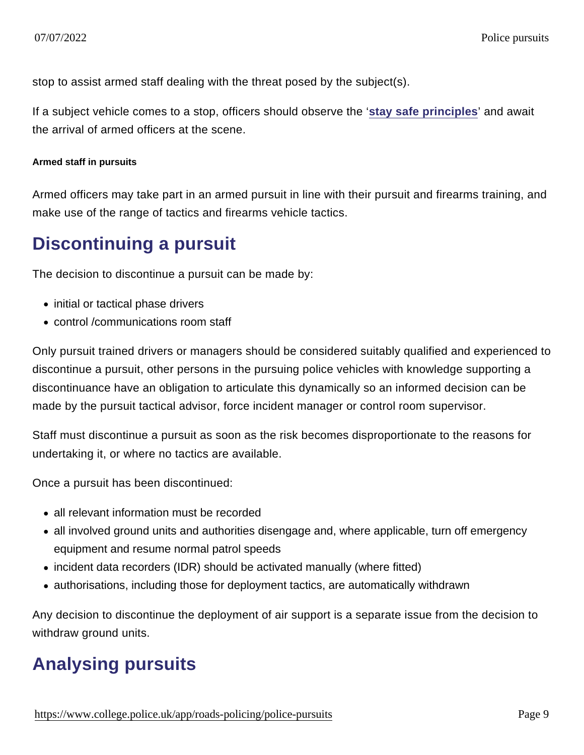stop to assist armed staff dealing with the threat posed by the subject(s).

If a subject vehicle comes to a stop, officers should observe the '[stay safe principles](https://www.app.college.police.uk/app-content/armed-policing/armed-deployment/#police-responders) ' and await the arrival of armed officers at the scene.

Armed staff in pursuits

Armed officers may take part in an armed pursuit in line with their pursuit and firearms training, and make use of the range of tactics and firearms vehicle tactics.

#### Discontinuing a pursuit

The decision to discontinue a pursuit can be made by:

- initial or tactical phase drivers
- control /communications room staff

Only pursuit trained drivers or managers should be considered suitably qualified and experienced to discontinue a pursuit, other persons in the pursuing police vehicles with knowledge supporting a discontinuance have an obligation to articulate this dynamically so an informed decision can be made by the pursuit tactical advisor, force incident manager or control room supervisor.

Staff must discontinue a pursuit as soon as the risk becomes disproportionate to the reasons for undertaking it, or where no tactics are available.

Once a pursuit has been discontinued:

- all relevant information must be recorded
- all involved ground units and authorities disengage and, where applicable, turn off emergency equipment and resume normal patrol speeds
- incident data recorders (IDR) should be activated manually (where fitted)
- authorisations, including those for deployment tactics, are automatically withdrawn

Any decision to discontinue the deployment of air support is a separate issue from the decision to withdraw ground units.

### Analysing pursuits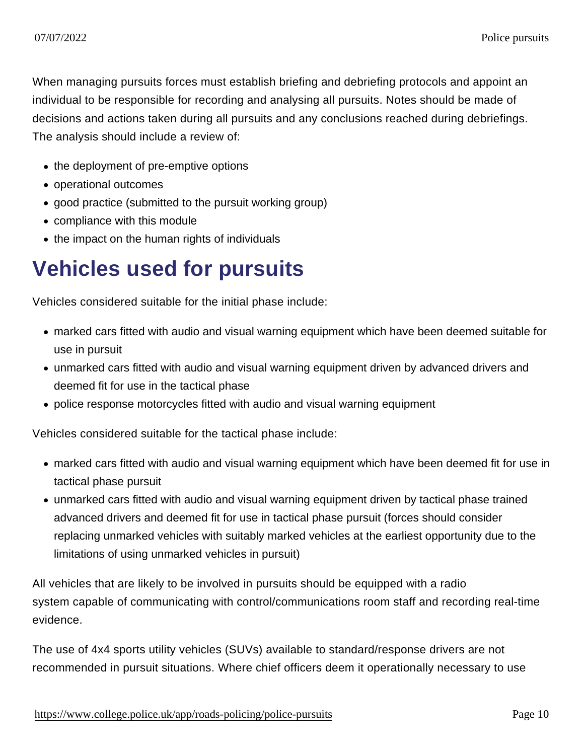When managing pursuits forces must establish briefing and debriefing protocols and appoint an individual to be responsible for recording and analysing all pursuits. Notes should be made of decisions and actions taken during all pursuits and any conclusions reached during debriefings. The analysis should include a review of:

- the deployment of pre-emptive options
- operational outcomes
- good practice (submitted to the pursuit working group)
- compliance with this module
- the impact on the human rights of individuals

# Vehicles used for pursuits

Vehicles considered suitable for the initial phase include:

- marked cars fitted with audio and visual warning equipment which have been deemed suitable for use in pursuit
- unmarked cars fitted with audio and visual warning equipment driven by advanced drivers and deemed fit for use in the tactical phase
- police response motorcycles fitted with audio and visual warning equipment

Vehicles considered suitable for the tactical phase include:

- marked cars fitted with audio and visual warning equipment which have been deemed fit for use in tactical phase pursuit
- unmarked cars fitted with audio and visual warning equipment driven by tactical phase trained advanced drivers and deemed fit for use in tactical phase pursuit (forces should consider replacing unmarked vehicles with suitably marked vehicles at the earliest opportunity due to the limitations of using unmarked vehicles in pursuit)

All vehicles that are likely to be involved in pursuits should be equipped with a radio system capable of communicating with control/communications room staff and recording real-time evidence.

The use of 4x4 sports utility vehicles (SUVs) available to standard/response drivers are not recommended in pursuit situations. Where chief officers deem it operationally necessary to use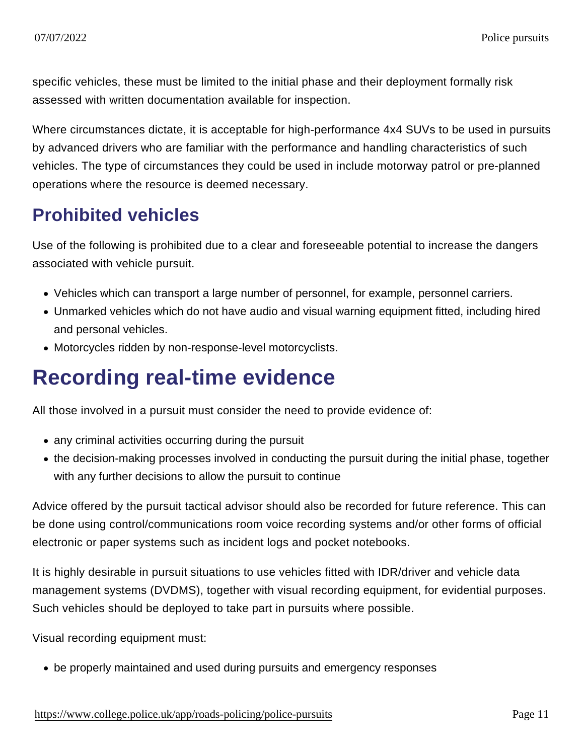specific vehicles, these must be limited to the initial phase and their deployment formally risk assessed with written documentation available for inspection.

Where circumstances dictate, it is acceptable for high-performance 4x4 SUVs to be used in pursuits by advanced drivers who are familiar with the performance and handling characteristics of such vehicles. The type of circumstances they could be used in include motorway patrol or pre-planned operations where the resource is deemed necessary.

### Prohibited vehicles

Use of the following is prohibited due to a clear and foreseeable potential to increase the dangers associated with vehicle pursuit.

- Vehicles which can transport a large number of personnel, for example, personnel carriers.
- Unmarked vehicles which do not have audio and visual warning equipment fitted, including hired and personal vehicles.
- Motorcycles ridden by non-response-level motorcyclists.

# Recording real-time evidence

All those involved in a pursuit must consider the need to provide evidence of:

- any criminal activities occurring during the pursuit
- the decision-making processes involved in conducting the pursuit during the initial phase, together with any further decisions to allow the pursuit to continue

Advice offered by the pursuit tactical advisor should also be recorded for future reference. This can be done using control/communications room voice recording systems and/or other forms of official electronic or paper systems such as incident logs and pocket notebooks.

It is highly desirable in pursuit situations to use vehicles fitted with IDR/driver and vehicle data management systems (DVDMS), together with visual recording equipment, for evidential purposes. Such vehicles should be deployed to take part in pursuits where possible.

Visual recording equipment must:

be properly maintained and used during pursuits and emergency responses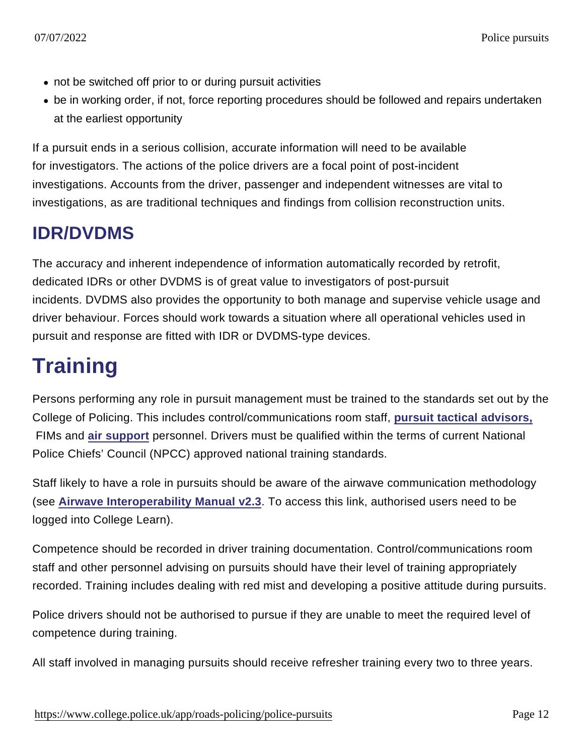- not be switched off prior to or during pursuit activities
- be in working order, if not, force reporting procedures should be followed and repairs undertaken at the earliest opportunity

If a pursuit ends in a serious collision, accurate information will need to be available for investigators. The actions of the police drivers are a focal point of post-incident investigations. Accounts from the driver, passenger and independent witnesses are vital to investigations, as are traditional techniques and findings from collision reconstruction units.

### IDR/DVDMS

The accuracy and inherent independence of information automatically recorded by retrofit, dedicated IDRs or other DVDMS is of great value to investigators of post-pursuit incidents. DVDMS also provides the opportunity to both manage and supervise vehicle usage and driver behaviour. Forces should work towards a situation where all operational vehicles used in pursuit and response are fitted with IDR or DVDMS-type devices.

# **Training**

Persons performing any role in pursuit management must be trained to the standards set out by the College of Policing. This includes control/communications room staff, [pursuit tactical advisors,](https://www.app.college.police.uk/app-content/road-policing-2/police-pursuits/#pursuit-tactical-advisor) FIMs and [air support](https://www.app.college.police.uk/app-content/road-policing-2/police-pursuits/#air-support) personnel. Drivers must be qualified within the terms of current National Police Chiefs' Council (NPCC) approved national training standards.

Staff likely to have a role in pursuits should be aware of the airwave communication methodology (see [Airwave Interoperability Manual v2.3](https://www.learn.college.pnn.police.uk/Course/Details/40631) . To access this link, authorised users need to be logged into College Learn).

Competence should be recorded in driver training documentation. Control/communications room staff and other personnel advising on pursuits should have their level of training appropriately recorded. Training includes dealing with red mist and developing a positive attitude during pursuits.

Police drivers should not be authorised to pursue if they are unable to meet the required level of competence during training.

All staff involved in managing pursuits should receive refresher training every two to three years.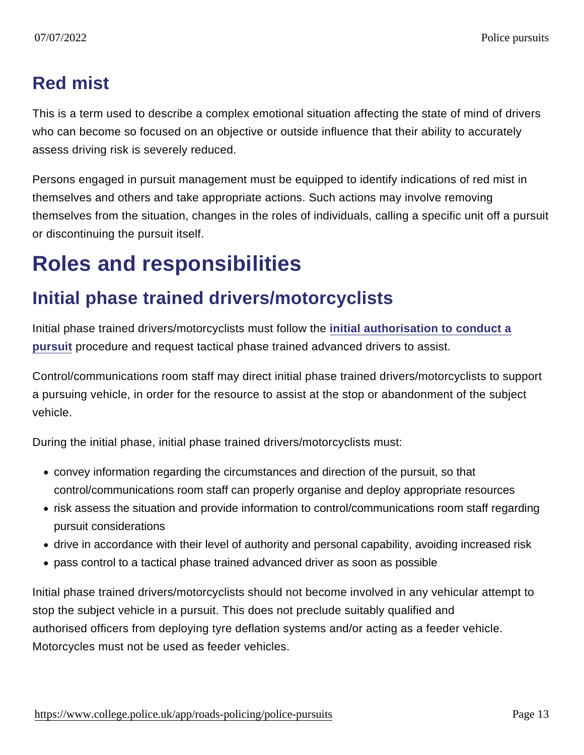### Red mist

This is a term used to describe a complex emotional situation affecting the state of mind of drivers who can become so focused on an objective or outside influence that their ability to accurately assess driving risk is severely reduced.

Persons engaged in pursuit management must be equipped to identify indications of red mist in themselves and others and take appropriate actions. Such actions may involve removing themselves from the situation, changes in the roles of individuals, calling a specific unit off a pursuit or discontinuing the pursuit itself.

## Roles and responsibilities

### Initial phase trained drivers/motorcyclists

Initial phase trained drivers/motorcyclists must follow the [initial authorisation to conduct a](https://www.app.college.police.uk/app-content/road-policing-2/police-pursuits/#initial-authorisation-to-conduct-a-pursuit) [pursuit](https://www.app.college.police.uk/app-content/road-policing-2/police-pursuits/#initial-authorisation-to-conduct-a-pursuit) procedure and request tactical phase trained advanced drivers to assist.

Control/communications room staff may direct initial phase trained drivers/motorcyclists to support a pursuing vehicle, in order for the resource to assist at the stop or abandonment of the subject vehicle.

During the initial phase, initial phase trained drivers/motorcyclists must:

- convey information regarding the circumstances and direction of the pursuit, so that control/communications room staff can properly organise and deploy appropriate resources
- risk assess the situation and provide information to control/communications room staff regarding pursuit considerations
- drive in accordance with their level of authority and personal capability, avoiding increased risk
- pass control to a tactical phase trained advanced driver as soon as possible

Initial phase trained drivers/motorcyclists should not become involved in any vehicular attempt to stop the subject vehicle in a pursuit. This does not preclude suitably qualified and authorised officers from deploying tyre deflation systems and/or acting as a feeder vehicle. Motorcycles must not be used as feeder vehicles.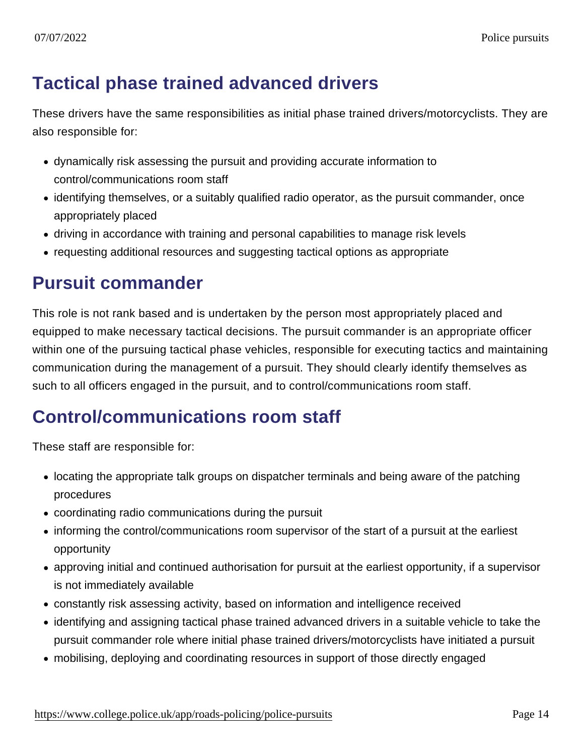### Tactical phase trained advanced drivers

These drivers have the same responsibilities as initial phase trained drivers/motorcyclists. They are also responsible for:

- dynamically risk assessing the pursuit and providing accurate information to control/communications room staff
- identifying themselves, or a suitably qualified radio operator, as the pursuit commander, once appropriately placed
- driving in accordance with training and personal capabilities to manage risk levels
- requesting additional resources and suggesting tactical options as appropriate

### Pursuit commander

This role is not rank based and is undertaken by the person most appropriately placed and equipped to make necessary tactical decisions. The pursuit commander is an appropriate officer within one of the pursuing tactical phase vehicles, responsible for executing tactics and maintaining communication during the management of a pursuit. They should clearly identify themselves as such to all officers engaged in the pursuit, and to control/communications room staff.

### Control/communications room staff

These staff are responsible for:

- locating the appropriate talk groups on dispatcher terminals and being aware of the patching procedures
- coordinating radio communications during the pursuit
- informing the control/communications room supervisor of the start of a pursuit at the earliest opportunity
- approving initial and continued authorisation for pursuit at the earliest opportunity, if a supervisor is not immediately available
- constantly risk assessing activity, based on information and intelligence received
- identifying and assigning tactical phase trained advanced drivers in a suitable vehicle to take the pursuit commander role where initial phase trained drivers/motorcyclists have initiated a pursuit
- mobilising, deploying and coordinating resources in support of those directly engaged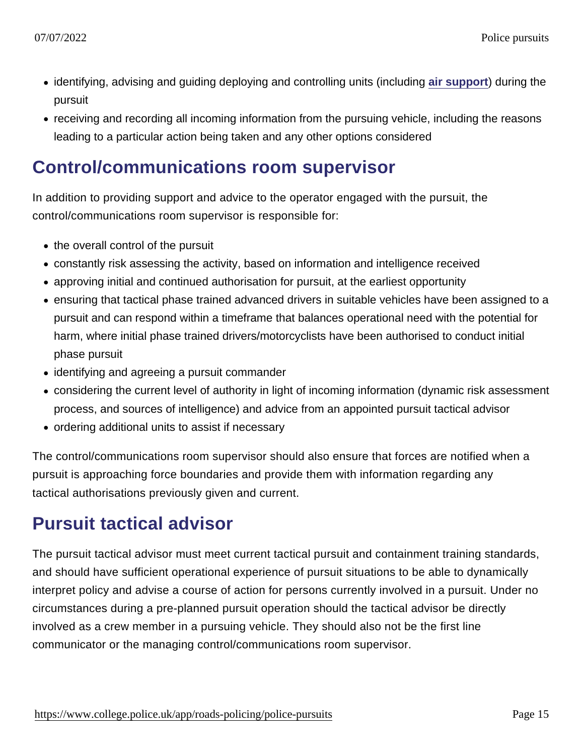- identifying, advising and guiding deploying and controlling units (including [air support](https://www.app.college.police.uk/app-content/road-policing-2/police-pursuits/#air-support)) during the pursuit
- receiving and recording all incoming information from the pursuing vehicle, including the reasons leading to a particular action being taken and any other options considered

### Control/communications room supervisor

In addition to providing support and advice to the operator engaged with the pursuit, the control/communications room supervisor is responsible for:

- the overall control of the pursuit
- constantly risk assessing the activity, based on information and intelligence received
- approving initial and continued authorisation for pursuit, at the earliest opportunity
- ensuring that tactical phase trained advanced drivers in suitable vehicles have been assigned to a pursuit and can respond within a timeframe that balances operational need with the potential for harm, where initial phase trained drivers/motorcyclists have been authorised to conduct initial phase pursuit
- identifying and agreeing a pursuit commander
- considering the current level of authority in light of incoming information (dynamic risk assessment process, and sources of intelligence) and advice from an appointed pursuit tactical advisor
- ordering additional units to assist if necessary

The control/communications room supervisor should also ensure that forces are notified when a pursuit is approaching force boundaries and provide them with information regarding any tactical authorisations previously given and current.

### Pursuit tactical advisor

The pursuit tactical advisor must meet current tactical pursuit and containment training standards, and should have sufficient operational experience of pursuit situations to be able to dynamically interpret policy and advise a course of action for persons currently involved in a pursuit. Under no circumstances during a pre-planned pursuit operation should the tactical advisor be directly involved as a crew member in a pursuing vehicle. They should also not be the first line communicator or the managing control/communications room supervisor.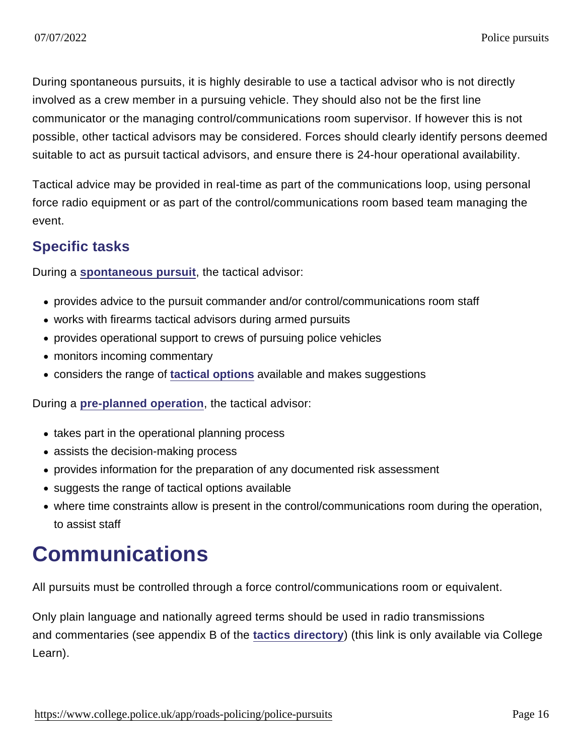During spontaneous pursuits, it is highly desirable to use a tactical advisor who is not directly involved as a crew member in a pursuing vehicle. They should also not be the first line communicator or the managing control/communications room supervisor. If however this is not possible, other tactical advisors may be considered. Forces should clearly identify persons deemed suitable to act as pursuit tactical advisors, and ensure there is 24-hour operational availability.

Tactical advice may be provided in real-time as part of the communications loop, using personal force radio equipment or as part of the control/communications room based team managing the event.

#### Specific tasks

During a [spontaneous pursuit](https://www.app.college.police.uk/app-content/road-policing-2/police-pursuits/#spontaneous-pursuits) , the tactical advisor:

- provides advice to the pursuit commander and/or control/communications room staff
- works with firearms tactical advisors during armed pursuits
- provides operational support to crews of pursuing police vehicles
- monitors incoming commentary
- considers the range of [tactical options](https://www.app.college.police.uk/app-content/road-policing-2/police-pursuits/#tactical-options) available and makes suggestions

During a [pre-planned operation](https://www.app.college.police.uk/app-content/road-policing-2/police-pursuits/#pre-planned-operations) , the tactical advisor:

- takes part in the operational planning process
- assists the decision-making process
- provides information for the preparation of any documented risk assessment
- suggests the range of tactical options available
- where time constraints allow is present in the control/communications room during the operation, to assist staff

### **Communications**

All pursuits must be controlled through a force control/communications room or equivalent.

Only plain language and nationally agreed terms should be used in radio transmissions and commentaries (see appendix B of the [tactics directory](https://www.learn.college.pnn.police.uk/CL/Content/Information/34020) ) (this link is only available via College Learn).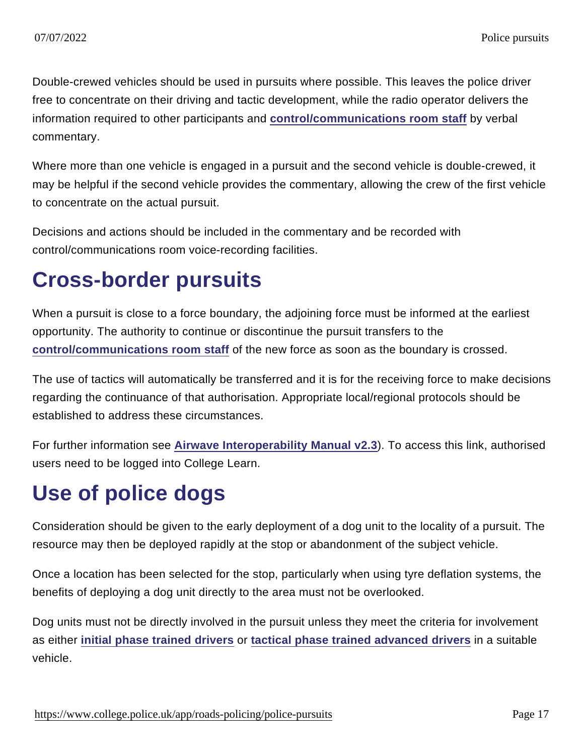Double-crewed vehicles should be used in pursuits where possible. This leaves the police driver free to concentrate on their driving and tactic development, while the radio operator delivers the information required to other participants and [control/communications room staff](https://www.app.college.police.uk/app-content/road-policing-2/police-pursuits/#control-communications-room-staff) by verbal commentary.

Where more than one vehicle is engaged in a pursuit and the second vehicle is double-crewed, it may be helpful if the second vehicle provides the commentary, allowing the crew of the first vehicle to concentrate on the actual pursuit.

Decisions and actions should be included in the commentary and be recorded with control/communications room voice-recording facilities.

# Cross-border pursuits

When a pursuit is close to a force boundary, the adjoining force must be informed at the earliest opportunity. The authority to continue or discontinue the pursuit transfers to the [control/communications room staff](https://www.app.college.police.uk/app-content/road-policing-2/police-pursuits/#control-communications-room-staff) of the new force as soon as the boundary is crossed.

The use of tactics will automatically be transferred and it is for the receiving force to make decisions regarding the continuance of that authorisation. Appropriate local/regional protocols should be established to address these circumstances.

For further information see [Airwave Interoperability Manual v2.3](https://www.learn.college.pnn.police.uk/Course/Details/40631) ). To access this link, authorised users need to be logged into College Learn.

# Use of police dogs

Consideration should be given to the early deployment of a dog unit to the locality of a pursuit. The resource may then be deployed rapidly at the stop or abandonment of the subject vehicle.

Once a location has been selected for the stop, particularly when using tyre deflation systems, the benefits of deploying a dog unit directly to the area must not be overlooked.

Dog units must not be directly involved in the pursuit unless they meet the criteria for involvement as either [initial phase trained drivers](https://www.app.college.police.uk/app-content/road-policing-2/police-pursuits/#initial-phase-trained-drivers-motorcyclists) or [tactical phase trained advanced drivers](https://www.app.college.police.uk/app-content/road-policing-2/police-pursuits/#tactical-phase-trained-advanced-drivers) in a suitable vehicle.